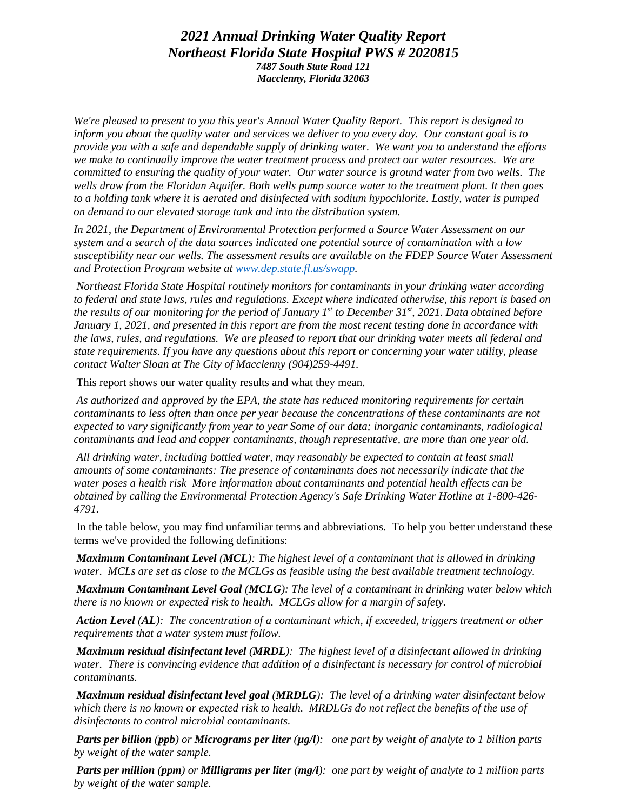## *2021 Annual Drinking Water Quality Report Northeast Florida State Hospital PWS # 2020815 7487 South State Road 121 Macclenny, Florida 32063*

*We're pleased to present to you this year's Annual Water Quality Report. This report is designed to inform you about the quality water and services we deliver to you every day. Our constant goal is to provide you with a safe and dependable supply of drinking water. We want you to understand the efforts we make to continually improve the water treatment process and protect our water resources. We are committed to ensuring the quality of your water. Our water source is ground water from two wells. The wells draw from the Floridan Aquifer. Both wells pump source water to the treatment plant. It then goes to a holding tank where it is aerated and disinfected with sodium hypochlorite. Lastly, water is pumped on demand to our elevated storage tank and into the distribution system.*

*In 2021, the Department of Environmental Protection performed a Source Water Assessment on our system and a search of the data sources indicated one potential source of contamination with a low susceptibility near our wells. The assessment results are available on the FDEP Source Water Assessment and Protection Program website at [www.dep.state.fl.us/swapp.](http://www.dep.state.fl.us/swapp)*

*Northeast Florida State Hospital routinely monitors for contaminants in your drinking water according to federal and state laws, rules and regulations. Except where indicated otherwise, this report is based on the results of our monitoring for the period of January 1st to December 31st, 2021. Data obtained before January 1, 2021, and presented in this report are from the most recent testing done in accordance with the laws, rules, and regulations. We are pleased to report that our drinking water meets all federal and state requirements. If you have any questions about this report or concerning your water utility, please contact Walter Sloan at The City of Macclenny (904)259-4491.* 

This report shows our water quality results and what they mean.

*As authorized and approved by the EPA, the state has reduced monitoring requirements for certain contaminants to less often than once per year because the concentrations of these contaminants are not expected to vary significantly from year to year Some of our data; inorganic contaminants, radiological contaminants and lead and copper contaminants, though representative, are more than one year old.*

*All drinking water, including bottled water, may reasonably be expected to contain at least small amounts of some contaminants: The presence of contaminants does not necessarily indicate that the water poses a health risk More information about contaminants and potential health effects can be obtained by calling the Environmental Protection Agency's Safe Drinking Water Hotline at 1-800-426- 4791.*

In the table below, you may find unfamiliar terms and abbreviations. To help you better understand these terms we've provided the following definitions:

*Maximum Contaminant Level (MCL): The highest level of a contaminant that is allowed in drinking water. MCLs are set as close to the MCLGs as feasible using the best available treatment technology.*

*Maximum Contaminant Level Goal (MCLG): The level of a contaminant in drinking water below which there is no known or expected risk to health. MCLGs allow for a margin of safety.*

*Action Level (AL): The concentration of a contaminant which, if exceeded, triggers treatment or other requirements that a water system must follow.*

*Maximum residual disinfectant level (MRDL): The highest level of a disinfectant allowed in drinking water. There is convincing evidence that addition of a disinfectant is necessary for control of microbial contaminants.*

*Maximum residual disinfectant level goal (MRDLG): The level of a drinking water disinfectant below which there is no known or expected risk to health. MRDLGs do not reflect the benefits of the use of disinfectants to control microbial contaminants.*

*Parts per billion (ppb) or Micrograms per liter (µg/l): one part by weight of analyte to 1 billion parts by weight of the water sample.*

*Parts per million (ppm) or Milligrams per liter (mg/l): one part by weight of analyte to 1 million parts by weight of the water sample.*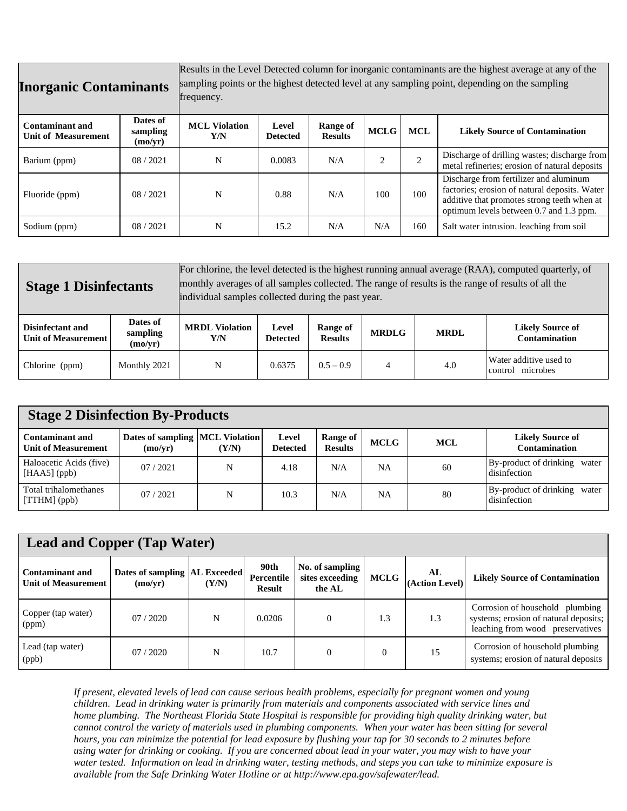| <b>Inorganic Contaminants</b>                        |                                 | Results in the Level Detected column for inorganic contaminants are the highest average at any of the<br>sampling points or the highest detected level at any sampling point, depending on the sampling<br>frequency. |                          |                            |                |                |                                                                                                                                                                                   |  |  |
|------------------------------------------------------|---------------------------------|-----------------------------------------------------------------------------------------------------------------------------------------------------------------------------------------------------------------------|--------------------------|----------------------------|----------------|----------------|-----------------------------------------------------------------------------------------------------------------------------------------------------------------------------------|--|--|
| <b>Contaminant and</b><br><b>Unit of Measurement</b> | Dates of<br>sampling<br>(mo/yr) | <b>MCL Violation</b><br>Y/N                                                                                                                                                                                           | Level<br><b>Detected</b> | Range of<br><b>Results</b> | <b>MCLG</b>    | <b>MCL</b>     | <b>Likely Source of Contamination</b>                                                                                                                                             |  |  |
| Barium (ppm)                                         | 08/2021                         | N                                                                                                                                                                                                                     | 0.0083                   | N/A                        | $\mathfrak{D}$ | $\overline{2}$ | Discharge of drilling wastes; discharge from<br>metal refineries; erosion of natural deposits                                                                                     |  |  |
| Fluoride (ppm)                                       | 08/2021                         | N                                                                                                                                                                                                                     | 0.88                     | N/A                        | 100            | 100            | Discharge from fertilizer and aluminum<br>factories; erosion of natural deposits. Water<br>additive that promotes strong teeth when at<br>optimum levels between 0.7 and 1.3 ppm. |  |  |
| Sodium (ppm)                                         | 08/2021                         | N                                                                                                                                                                                                                     | 15.2                     | N/A                        | N/A            | 160            | Salt water intrusion. leaching from soil                                                                                                                                          |  |  |

| <b>Stage 1 Disinfectants</b>                     |                                 | For chlorine, the level detected is the highest running annual average (RAA), computed quarterly, of<br>monthly averages of all samples collected. The range of results is the range of results of all the<br>individual samples collected during the past year. |                          |                            |              |             |                                                 |  |
|--------------------------------------------------|---------------------------------|------------------------------------------------------------------------------------------------------------------------------------------------------------------------------------------------------------------------------------------------------------------|--------------------------|----------------------------|--------------|-------------|-------------------------------------------------|--|
| Disinfectant and<br><b>Unit of Measurement  </b> | Dates of<br>sampling<br>(mo/yr) | <b>MRDL</b> Violation<br>Y/N                                                                                                                                                                                                                                     | Level<br><b>Detected</b> | Range of<br><b>Results</b> | <b>MRDLG</b> | <b>MRDL</b> | <b>Likely Source of</b><br><b>Contamination</b> |  |
| Chlorine (ppm)                                   | Monthly 2021                    | N                                                                                                                                                                                                                                                                | 0.6375                   | $0.5 - 0.9$                | 4            | 4.0         | Water additive used to<br>control microbes      |  |

| <b>Stage 2 Disinfection By-Products</b>       |                                               |       |                          |                            |             |            |                                                 |  |  |
|-----------------------------------------------|-----------------------------------------------|-------|--------------------------|----------------------------|-------------|------------|-------------------------------------------------|--|--|
| Contaminant and<br><b>Unit of Measurement</b> | Dates of sampling  MCL Violation  <br>(mo/yr) | (Y/N) | Level<br><b>Detected</b> | Range of<br><b>Results</b> | <b>MCLG</b> | <b>MCL</b> | <b>Likely Source of</b><br><b>Contamination</b> |  |  |
| Haloacetic Acids (five)<br>$[HAA5]$ (ppb)     | 07/2021                                       | N     | 4.18                     | N/A                        | NA          | 60         | By-product of drinking water<br>disinfection    |  |  |
| Total trihalomethanes<br>$[THM]$ (ppb)        | 07/2021                                       | N     | 10.3                     | N/A                        | <b>NA</b>   | 80         | By-product of drinking water<br>disinfection    |  |  |

| <b>Lead and Copper (Tap Water)</b>                   |                                            |       |                                     |                                              |             |                      |                                                                                                                 |  |  |
|------------------------------------------------------|--------------------------------------------|-------|-------------------------------------|----------------------------------------------|-------------|----------------------|-----------------------------------------------------------------------------------------------------------------|--|--|
| <b>Contaminant and</b><br><b>Unit of Measurement</b> | Dates of sampling  AL Exceeded <br>(mo/yr) | (Y/N) | 90th<br>Percentile<br><b>Result</b> | No. of sampling<br>sites exceeding<br>the AL | <b>MCLG</b> | AL<br>(Action Level) | <b>Likely Source of Contamination</b>                                                                           |  |  |
| Copper (tap water)<br>(ppm)                          | 07/2020                                    | N     | 0.0206                              |                                              | 1.3         | 1.3                  | Corrosion of household<br>plumbing<br>systems; erosion of natural deposits;<br>leaching from wood preservatives |  |  |
| Lead (tap water)<br>(ppb)                            | 07/2020                                    | N     | 10.7                                | $\Omega$                                     | $\Omega$    | 15                   | Corrosion of household plumbing<br>systems; erosion of natural deposits                                         |  |  |

*If present, elevated levels of lead can cause serious health problems, especially for pregnant women and young children. Lead in drinking water is primarily from materials and components associated with service lines and home plumbing. The Northeast Florida State Hospital is responsible for providing high quality drinking water, but cannot control the variety of materials used in plumbing components. When your water has been sitting for several hours, you can minimize the potential for lead exposure by flushing your tap for 30 seconds to 2 minutes before using water for drinking or cooking. If you are concerned about lead in your water, you may wish to have your water tested. Information on lead in drinking water, testing methods, and steps you can take to minimize exposure is available from the Safe Drinking Water Hotline or at http://www.epa.gov/safewater/lead.*